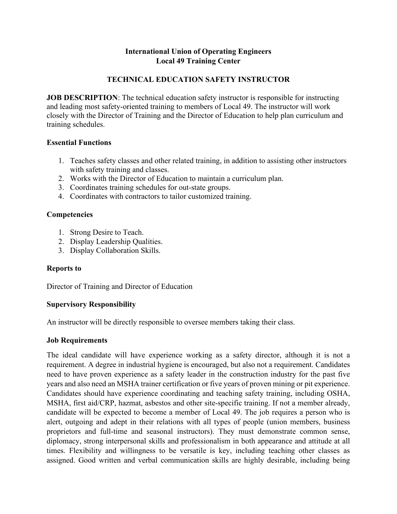# **International Union of Operating Engineers Local 49 Training Center**

# **TECHNICAL EDUCATION SAFETY INSTRUCTOR**

**JOB DESCRIPTION:** The technical education safety instructor is responsible for instructing and leading most safety-oriented training to members of Local 49. The instructor will work closely with the Director of Training and the Director of Education to help plan curriculum and training schedules.

#### **Essential Functions**

- 1. Teaches safety classes and other related training, in addition to assisting other instructors with safety training and classes.
- 2. Works with the Director of Education to maintain a curriculum plan.
- 3. Coordinates training schedules for out-state groups.
- 4. Coordinates with contractors to tailor customized training.

### **Competencies**

- 1. Strong Desire to Teach.
- 2. Display Leadership Qualities.
- 3. Display Collaboration Skills.

### **Reports to**

Director of Training and Director of Education

### **Supervisory Responsibility**

An instructor will be directly responsible to oversee members taking their class.

### **Job Requirements**

The ideal candidate will have experience working as a safety director, although it is not a requirement. A degree in industrial hygiene is encouraged, but also not a requirement. Candidates need to have proven experience as a safety leader in the construction industry for the past five years and also need an MSHA trainer certification or five years of proven mining or pit experience. Candidates should have experience coordinating and teaching safety training, including OSHA, MSHA, first aid/CRP, hazmat, asbestos and other site-specific training. If not a member already, candidate will be expected to become a member of Local 49. The job requires a person who is alert, outgoing and adept in their relations with all types of people (union members, business proprietors and full-time and seasonal instructors). They must demonstrate common sense, diplomacy, strong interpersonal skills and professionalism in both appearance and attitude at all times. Flexibility and willingness to be versatile is key, including teaching other classes as assigned. Good written and verbal communication skills are highly desirable, including being